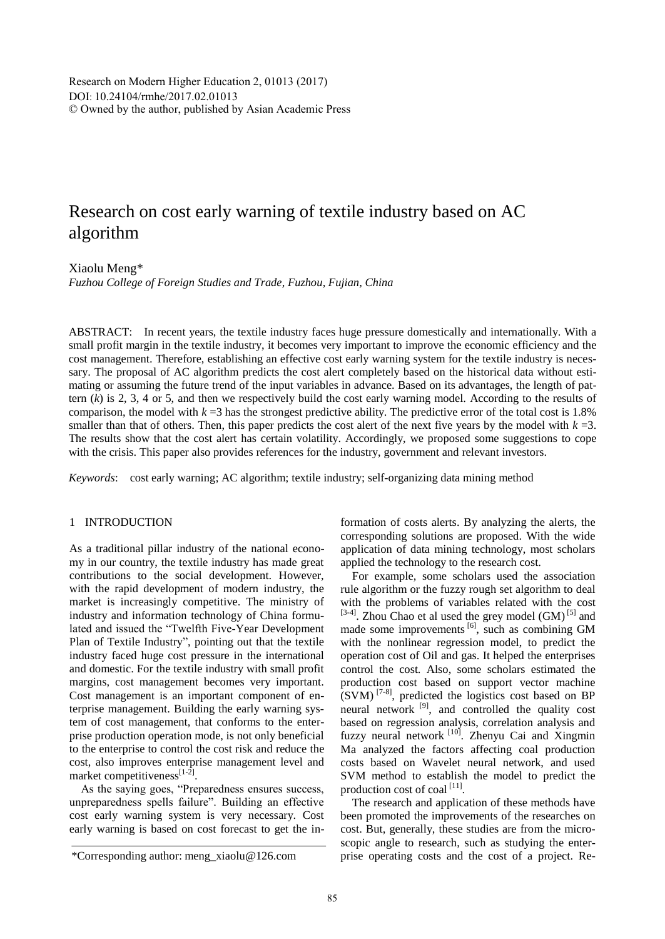Research on Modern Higher Education 2, 01013 (2017) DOI: 10.24104/rmhe/2017.02.01013 © Owned by the author, published by Asian Academic Press

# Research on cost early warning of textile industry based on AC algorithm

Xiaolu Meng\*

*Fuzhou College of Foreign Studies and Trade, Fuzhou, Fujian, China*

ABSTRACT: In recent years, the textile industry faces huge pressure domestically and internationally. With a small profit margin in the textile industry, it becomes very important to improve the economic efficiency and the cost management. Therefore, establishing an effective cost early warning system for the textile industry is necessary. The proposal of AC algorithm predicts the cost alert completely based on the historical data without estimating or assuming the future trend of the input variables in advance. Based on its advantages, the length of pattern  $(k)$  is 2, 3, 4 or 5, and then we respectively build the cost early warning model. According to the results of comparison, the model with  $k = 3$  has the strongest predictive ability. The predictive error of the total cost is 1.8% smaller than that of others. Then, this paper predicts the cost alert of the next five years by the model with  $k = 3$ . The results show that the cost alert has certain volatility. Accordingly, we proposed some suggestions to cope with the crisis. This paper also provides references for the industry, government and relevant investors.

*Keywords*: cost early warning; AC algorithm; textile industry; self-organizing data mining method

# 1 INTRODUCTION

As a traditional pillar industry of the national economy in our country, the textile industry has made great contributions to the social development. However, with the rapid development of modern industry, the market is increasingly competitive. The ministry of industry and information technology of China formulated and issued the "Twelfth Five-Year Development Plan of Textile Industry", pointing out that the textile industry faced huge cost pressure in the international and domestic. For the textile industry with small profit margins, cost management becomes very important. Cost management is an important component of enterprise management. Building the early warning system of cost management, that conforms to the enterprise production operation mode, is not only beneficial to the enterprise to control the cost risk and reduce the cost, also improves enterprise management level and market competitiveness $^{[1-2]}$ .

As the saying goes, "Preparedness ensures success, unpreparedness spells failure". Building an effective cost early warning system is very necessary. Cost early warning is based on cost forecast to get the in-

formation of costs alerts. By analyzing the alerts, the corresponding solutions are proposed. With the wide application of data mining technology, most scholars applied the technology to the research cost.

For example, some scholars used the association rule algorithm or the fuzzy rough set algorithm to deal with the problems of variables related with the cost  $[3-4]$ . Zhou Chao et al used the grey model  $(GM)$ <sup>[5]</sup> and made some improvements  $\left[6\right]$ , such as combining GM with the nonlinear regression model, to predict the operation cost of Oil and gas. It helped the enterprises control the cost. Also, some scholars estimated the production cost based on support vector machine  $(SVM)^{[7-8]}$ , predicted the logistics cost based on BP neural network <sup>[9]</sup>, and controlled the quality cost based on regression analysis, correlation analysis and fuzzy neural network<sup>[10]</sup>. Zhenyu Cai and Xingmin Ma analyzed the factors affecting coal production costs based on Wavelet neural network, and used SVM method to establish the model to predict the production cost of coal<sup>[11]</sup>.

The research and application of these methods have been promoted the improvements of the researches on cost. But, generally, these studies are from the microscopic angle to research, such as studying the enterprise operating costs and the cost of a project. Re-

<sup>\*</sup>Corresponding author: meng\_xiaolu@126.com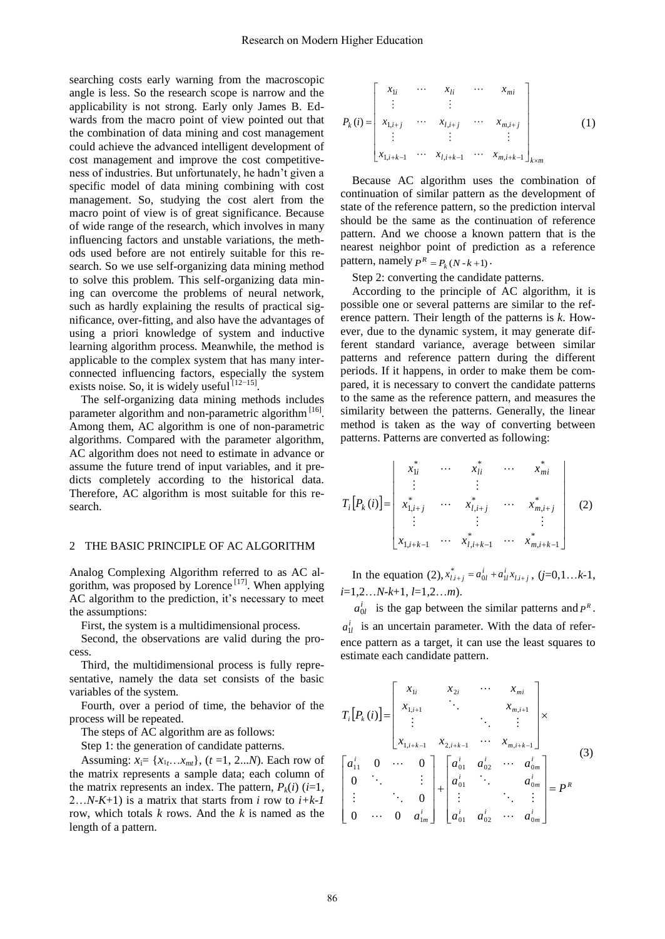searching costs early warning from the macroscopic angle is less. So the research scope is narrow and the applicability is not strong. Early only James B. Edwards from the macro point of view pointed out that the combination of data mining and cost management could achieve the advanced intelligent development of cost management and improve the cost competitiveness of industries. But unfortunately, he hadn't given a specific model of data mining combining with cost management. So, studying the cost alert from the macro point of view is of great significance. Because of wide range of the research, which involves in many influencing factors and unstable variations, the methods used before are not entirely suitable for this research. So we use self-organizing data mining method to solve this problem. This self-organizing data mining can overcome the problems of neural network, such as hardly explaining the results of practical significance, over-fitting, and also have the advantages of using a priori knowledge of system and inductive learning algorithm process. Meanwhile, the method is applicable to the complex system that has many interconnected influencing factors, especially the system exists noise. So, it is widely useful<sup>[12−15]</sup>.

The self-organizing data mining methods includes parameter algorithm and non-parametric algorithm<sup>[16]</sup>. Among them, AC algorithm is one of non-parametric algorithms. Compared with the parameter algorithm, AC algorithm does not need to estimate in advance or assume the future trend of input variables, and it predicts completely according to the historical data. Therefore, AC algorithm is most suitable for this research.

# 2 THE BASIC PRINCIPLE OF AC ALGORITHM

Analog Complexing Algorithm referred to as AC algorithm, was proposed by Lorence<sup>[17]</sup>. When applying AC algorithm to the prediction, it's necessary to meet the assumptions:

First, the system is a multidimensional process.

Second, the observations are valid during the process.

Third, the multidimensional process is fully representative, namely the data set consists of the basic variables of the system.

Fourth, over a period of time, the behavior of the process will be repeated.

The steps of AC algorithm are as follows:

Step 1: the generation of candidate patterns.

Assuming:  $x_i = \{x_{1t} \dots x_{mt}\}, (t = 1, 2...N)$ . Each row of the matrix represents a sample data; each column of the matrix represents an index. The pattern,  $P_k(i)$  ( $i=1$ , 2... $N-K+1$ ) is a matrix that starts from *i* row to  $i+k-1$ row, which totals *k* rows. And the *k* is named as the length of a pattern.

$$
P_{k}(i) = \begin{bmatrix} x_{1i} & \cdots & x_{li} & \cdots & x_{mi} \\ \vdots & & \vdots & & \\ x_{1,i+j} & \cdots & x_{l,i+j} & \cdots & x_{m,i+j} \\ \vdots & & \vdots & & \vdots \\ x_{1,i+k-1} & \cdots & x_{l,i+k-1} & \cdots & x_{m,i+k-1} \end{bmatrix}_{k \times m}
$$
 (1)

Because AC algorithm uses the combination of continuation of similar pattern as the development of state of the reference pattern, so the prediction interval should be the same as the continuation of reference pattern. And we choose a known pattern that is the nearest neighbor point of prediction as a reference pattern, namely  $P^R = P_k (N-k+1)$ .

Step 2: converting the candidate patterns.

According to the principle of AC algorithm, it is possible one or several patterns are similar to the reference pattern. Their length of the patterns is *k*. However, due to the dynamic system, it may generate different standard variance, average between similar patterns and reference pattern during the different periods. If it happens, in order to make them be compared, it is necessary to convert the candidate patterns to the same as the reference pattern, and measures the similarity between the patterns. Generally, the linear method is taken as the way of converting between patterns. Patterns are converted as following:

$$
T_{i}\left[P_{k}(i)\right]=\left[\begin{array}{cccc} x_{1i}^{*} & \cdots & x_{li}^{*} & \cdots & x_{mi}^{*} \\ \vdots & & \vdots & & \\ x_{1,i+j}^{*} & \cdots & x_{i,i+j}^{*} & \cdots & x_{m,i+j}^{*} \\ \vdots & & \vdots & & \vdots \\ x_{1,i+k-1} & \cdots & x_{i,i+k-1}^{*} & \cdots & x_{m,i+k-1}^{*} \end{array}\right] (2)
$$

In the equation (2),  $x_{i,i+j}^* = a_{0i}^i + a_{1i}^i x_{i,i+j}$ , (*j*=0,1...k-1, *i*=1,2…*N-k*+1, *l*=1,2…*m*).

 $a_{0l}^i$  is the gap between the similar patterns and  $P^k$ .  $a_{1l}^i$  is an uncertain parameter. With the data of reference pattern as a target, it can use the least squares to estimate each candidate pattern.

$$
T_i[P_k(i)] = \begin{bmatrix} x_{1i} & x_{2i} & \cdots & x_{mi} \\ x_{1,i+1} & \ddots & & x_{mi+1} \\ \vdots & & \ddots & & \vdots \\ x_{1,i+k-1} & x_{2,i+k-1} & \cdots & x_{m,i+k-1} \end{bmatrix} \times
$$
  
\n
$$
\begin{bmatrix} a_{11}^i & 0 & \cdots & 0 \\ 0 & \ddots & & \vdots \\ \vdots & & \ddots & 0 \\ 0 & \cdots & 0 & a_{1m}^i \end{bmatrix} + \begin{bmatrix} a_{01}^i & a_{02}^i & \cdots & a_{0m}^i \\ a_{01}^i & \ddots & & a_{0m}^i \\ \vdots & & \ddots & \vdots \\ a_{01}^i & a_{02}^i & \cdots & a_{0m}^i \end{bmatrix} = P^k
$$
 (3)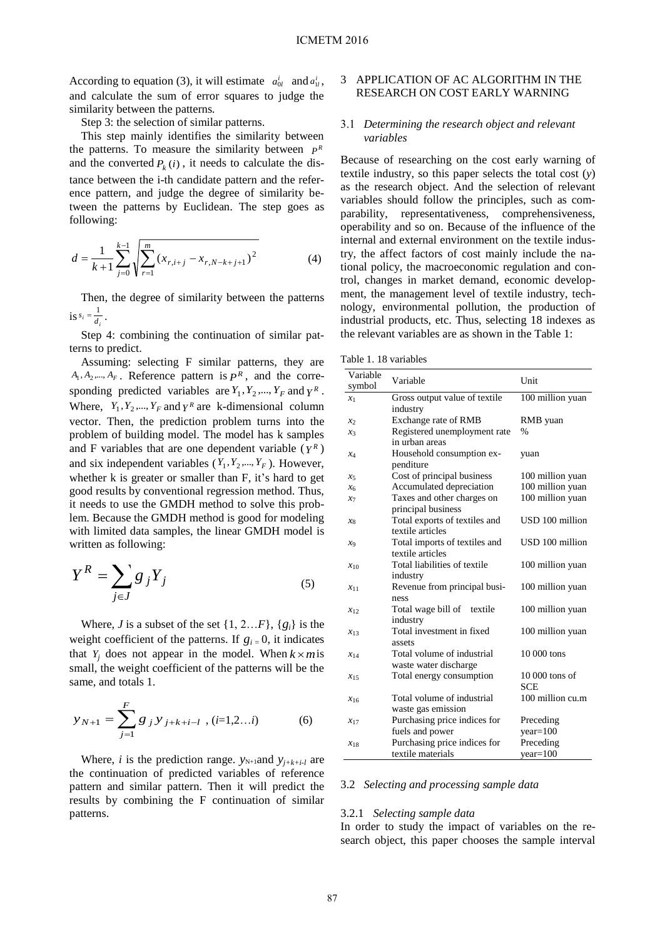According to equation (3), it will estimate  $a_{0l}^i$  and  $a_{1l}^i$ , and calculate the sum of error squares to judge the similarity between the patterns.

Step 3: the selection of similar patterns.

This step mainly identifies the similarity between the patterns. To measure the similarity between  $P<sup>R</sup>$ and the converted  $P_k(i)$ , it needs to calculate the distance between the i-th candidate pattern and the reference pattern, and judge the degree of similarity between the patterns by Euclidean. The step goes as following:

$$
d = \frac{1}{k+1} \sum_{j=0}^{k-1} \sqrt{\sum_{r=1}^{m} (x_{r,i+j} - x_{r,N-k+j+1})^2}
$$
(4)

Then, the degree of similarity between the patterns  $\textbf{i}$ **s**  $s_i = \frac{1}{d_i}$ .

Step 4: combining the continuation of similar patterns to predict.

Assuming: selecting F similar patterns, they are  $A_1, A_2, \dots, A_F$ . Reference pattern is  $P^R$ , and the corresponding predicted variables are  $Y_1, Y_2, ..., Y_F$  and  $Y^R$ . Where,  $Y_1, Y_2, \dots, Y_F$  and  $Y^R$  are k-dimensional column vector. Then, the prediction problem turns into the problem of building model. The model has k samples and F variables that are one dependent variable ( $\gamma^R$ ) and six independent variables  $(Y_1, Y_2, ..., Y_F)$ . However, whether k is greater or smaller than F, it's hard to get good results by conventional regression method. Thus, it needs to use the GMDH method to solve this problem. Because the GMDH method is good for modeling with limited data samples, the linear GMDH model is written as following:

$$
Y^R = \sum_{j \in J} g_j Y_j \tag{5}
$$

Where, *J* is a subset of the set  $\{1, 2...F\}$ ,  $\{g_i\}$  is the weight coefficient of the patterns. If  $g_i = 0$ , it indicates that  $Y_j$  does not appear in the model. When  $k \times m$  is small, the weight coefficient of the patterns will be the same, and totals 1.

$$
y_{N+1} = \sum_{j=1}^{F} g_j y_{j+k+i-l} , (i=1,2...i)
$$
 (6)

Where, *i* is the prediction range.  $y_{N+1}$ and  $y_{i+k+i-l}$  are the continuation of predicted variables of reference pattern and similar pattern. Then it will predict the results by combining the F continuation of similar patterns.

# 3 APPLICATION OF AC ALGORITHM IN THE RESEARCH ON COST EARLY WARNING

# 3.1 *Determining the research object and relevant variables*

Because of researching on the cost early warning of textile industry, so this paper selects the total cost (*y*) as the research object. And the selection of relevant variables should follow the principles, such as comparability, representativeness, comprehensiveness, operability and so on. Because of the influence of the internal and external environment on the textile industry, the affect factors of cost mainly include the national policy, the macroeconomic regulation and control, changes in market demand, economic development, the management level of textile industry, technology, environmental pollution, the production of industrial products, etc. Thus, selecting 18 indexes as the relevant variables are as shown in the Table 1:

Table 1. 18 variables

| Variable<br>symbol | Variable                              | Unit             |
|--------------------|---------------------------------------|------------------|
| $x_1$              | Gross output value of textile         | 100 million yuan |
|                    | industry                              |                  |
| $x_2$              | Exchange rate of RMB                  | RMB yuan         |
| $x_3$              | Registered unemployment rate          | $\frac{0}{0}$    |
|                    | in urban areas                        |                  |
| $x_4$              | Household consumption ex-             | yuan             |
|                    | penditure                             |                  |
| $x_{5}$            | Cost of principal business            | 100 million yuan |
| x <sub>6</sub>     | Accumulated depreciation              | 100 million yuan |
| $x_7$              | Taxes and other charges on            | 100 million yuan |
|                    | principal business                    |                  |
| $x_8$              | Total exports of textiles and         | USD 100 million  |
|                    | textile articles                      |                  |
| $x_{9}$            | Total imports of textiles and         | USD 100 million  |
|                    | textile articles                      |                  |
| $x_{10}$           | Total liabilities of textile          | 100 million yuan |
|                    | industry                              |                  |
| $x_{11}$           | Revenue from principal busi-          | 100 million yuan |
|                    | ness                                  |                  |
| $x_{12}$           | Total wage bill of<br>textile         | 100 million yuan |
|                    | industry<br>Total investment in fixed |                  |
| $x_{13}$           |                                       | 100 million yuan |
|                    | assets<br>Total volume of industrial  | 10 000 tons      |
| $x_{14}$           | waste water discharge                 |                  |
|                    | Total energy consumption              | 10 000 tons of   |
| $x_{15}$           |                                       | <b>SCE</b>       |
|                    | Total volume of industrial            | 100 million cu.m |
| $x_{16}$           | waste gas emission                    |                  |
| $x_{17}$           | Purchasing price indices for          | Preceding        |
|                    | fuels and power                       | $year=100$       |
|                    | Purchasing price indices for          | Preceding        |
| $x_{18}$           | textile materials                     | $year=100$       |
|                    |                                       |                  |

#### 3.2 *Selecting and processing sample data*

#### 3.2.1 *Selecting sample data*

In order to study the impact of variables on the research object, this paper chooses the sample interval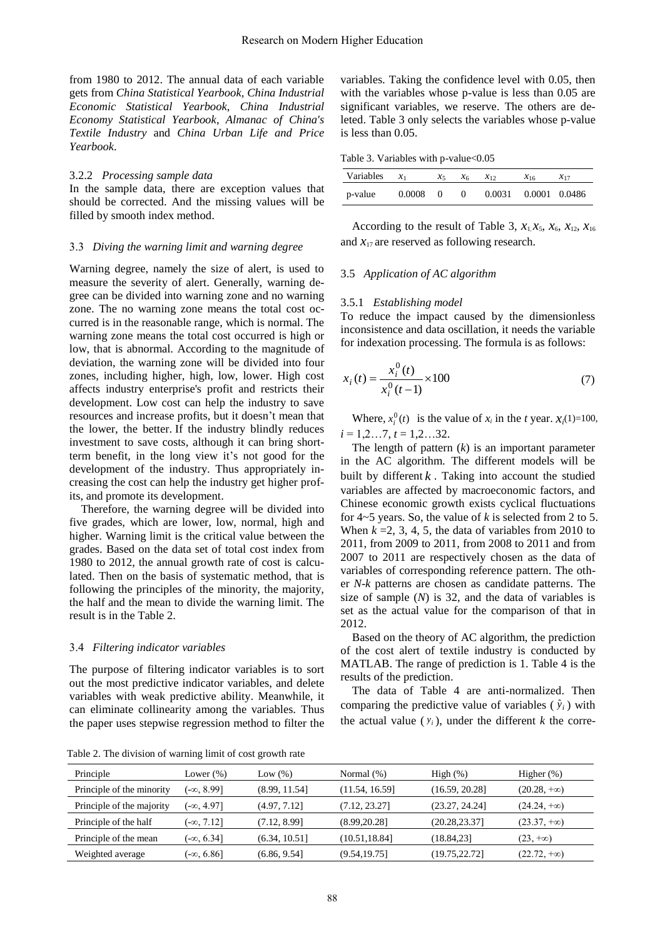from 1980 to 2012. The annual data of each variable gets from *China Statistical Yearbook, China Industrial Economic Statistical Yearbook*, *China Industrial Economy Statistical Yearbook*, *Almanac of China's Textile Industry* and *China Urban Life and Price Yearbook*.

## 3.2.2 *Processing sample data*

In the sample data, there are exception values that should be corrected. And the missing values will be filled by smooth index method.

#### 3.3 *Diving the warning limit and warning degree*

Warning degree, namely the size of alert, is used to measure the severity of alert. Generally, warning degree can be divided into warning zone and no warning zone. The no warning zone means the total cost occurred is in the reasonable range, which is normal. The warning zone means the total cost occurred is high or low, that is abnormal. According to the magnitude of deviation, the warning zone will be divided into four zones, including higher, high, low, lower. High cost affects industry enterprise's profit and restricts their development. Low cost can help the industry to save resources and increase profits, but it doesn't mean that the lower, the better. If the industry blindly reduces investment to save costs, although it can bring shortterm benefit, in the long view it's not good for the development of the industry. Thus appropriately increasing the cost can help the industry get higher profits, and promote its development.

Therefore, the warning degree will be divided into five grades, which are lower, low, normal, high and higher. Warning limit is the critical value between the grades. Based on the data set of total cost index from 1980 to 2012, the annual growth rate of cost is calculated. Then on the basis of systematic method, that is following the principles of the minority, the majority, the half and the mean to divide the warning limit. The result is in the Table 2.

## 3.4 *Filtering indicator variables*

The purpose of filtering indicator variables is to sort out the most predictive indicator variables, and delete variables with weak predictive ability. Meanwhile, it can eliminate collinearity among the variables. Thus the paper uses stepwise regression method to filter the

Table 2. The division of warning limit of cost growth rate

variables. Taking the confidence level with 0.05, then with the variables whose p-value is less than 0.05 are significant variables, we reserve. The others are deleted. Table 3 only selects the variables whose p-value is less than 0.05.

Table 3. Variables with p-value<0.05

| Variables | $\mathcal{X}_1$ | $x_{5}$  |          | $x_{12}$ | $X_{16}$             | $X_{17}$ |
|-----------|-----------------|----------|----------|----------|----------------------|----------|
| p-value   | 0.0008          | $\Omega$ | $\Omega$ |          | 0.0031 0.0001 0.0486 |          |

According to the result of Table 3,  $x_1, x_5, x_6, x_{12}, x_{16}$ and  $x_{17}$  are reserved as following research.

## 3.5 *Application of AC algorithm*

#### 3.5.1 *Establishing model*

To reduce the impact caused by the dimensionless inconsistence and data oscillation, it needs the variable for indexation processing. The formula is as follows:

$$
x_i(t) = \frac{x_i^0(t)}{x_i^0(t-1)} \times 100
$$
 (7)

Where,  $x_i^0(t)$  is the value of  $x_i$  in the *t* year.  $x_i(1)=100$ ,  $i = 1, 2, \ldots, 7, t = 1, 2, \ldots, 32.$ 

The length of pattern (*k*) is an important parameter in the AC algorithm. The different models will be built by different  $k$ . Taking into account the studied variables are affected by macroeconomic factors, and Chinese economic growth exists cyclical fluctuations for  $4-5$  years. So, the value of  $k$  is selected from 2 to 5. When  $k = 2, 3, 4, 5$ , the data of variables from 2010 to 2011, from 2009 to 2011, from 2008 to 2011 and from 2007 to 2011 are respectively chosen as the data of variables of corresponding reference pattern. The other *N-k* patterns are chosen as candidate patterns. The size of sample (*N*) is 32, and the data of variables is set as the actual value for the comparison of that in 2012.

Based on the theory of AC algorithm, the prediction of the cost alert of textile industry is conducted by MATLAB. The range of prediction is 1. Table 4 is the results of the prediction.

The data of Table 4 are anti-normalized. Then comparing the predictive value of variables  $(\hat{y}_i)$  with the actual value  $(y_i)$ , under the different *k* the corre-

| Principle                 | Lower $(\%)$      | Low $(\%)$    | Normal (%)     | High $(\%)$    | Higher $(\%)$      |
|---------------------------|-------------------|---------------|----------------|----------------|--------------------|
| Principle of the minority | $(-\infty, 8.99]$ | (8.99, 11.54] | (11.54, 16.59) | (16.59, 20.28] | $(20.28, +\infty)$ |
| Principle of the majority | $(-\infty, 4.97]$ | (4.97, 7.12]  | (7.12, 23.27)  | (23.27, 24.24) | $(24.24, +\infty)$ |
| Principle of the half     | $(-\infty, 7.12]$ | (7.12, 8.99]  | (8.99, 20.28)  | (20.28.23.37)  | $(23.37, +\infty)$ |
| Principle of the mean     | $(-\infty, 6.34]$ | (6.34, 10.51] | (10.51, 18.84] | (18.84, 23]    | $(23, +\infty)$    |
| Weighted average          | $(-\infty, 6.86]$ | (6.86, 9.54]  | (9.54, 19.75)  | (19.75,22.72)  | $(22.72, +\infty)$ |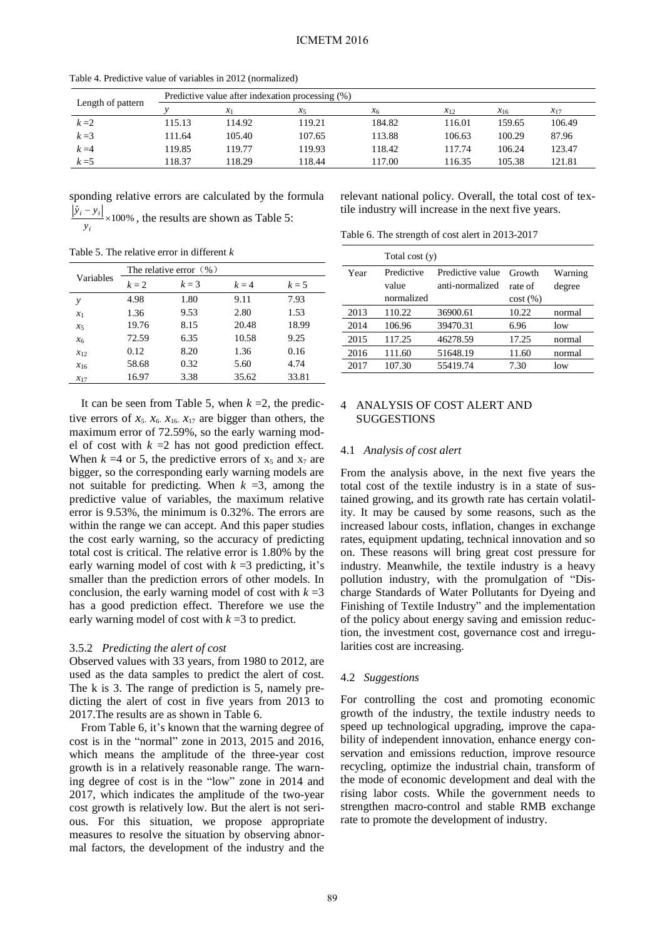|                   | Predictive value after indexation processing (%) |          |         |          |          |          |          |
|-------------------|--------------------------------------------------|----------|---------|----------|----------|----------|----------|
| Length of pattern |                                                  | $\chi_1$ | $x_{5}$ | $\chi_6$ | $x_{12}$ | $x_{16}$ | $x_{17}$ |
| $k=2$             | 15.13                                            | 114.92   | 119.21  | 184.82   | 116.01   | 159.65   | 106.49   |
| $k=3$             | 11.64                                            | 105.40   | 107.65  | 113.88   | 106.63   | 100.29   | 87.96    |
| $k=4$             | 19.85                                            | 119.77   | 19.93   | 118.42   | 117.74   | 106.24   | 123.47   |
| $k=5$             | 18.37                                            | 18.29    | 18.44   | 117.00   | 116.35   | 105.38   | 121.81   |

Table 4. Predictive value of variables in 2012 (normalized)

sponding relative errors are calculated by the formula  $\frac{\hat{y}_i - y_i}{\times 100\%}$  $i = y_i$ *y*  $\frac{\hat{y}_i - y_i}{\hat{y}_i - y_i}$  × 100%, the results are shown as Table 5:

Table 5. The relative error in different *k*

*i*

|                |       | The relative error $(\% )$ |         |       |
|----------------|-------|----------------------------|---------|-------|
| Variables      | $k=2$ | $k=3$                      | $k = 4$ | $k=5$ |
| ν              | 4.98  | 1.80                       | 9.11    | 7.93  |
| $x_1$          | 1.36  | 9.53                       | 2.80    | 1.53  |
| $x_{5}$        | 19.76 | 8.15                       | 20.48   | 18.99 |
| x <sub>6</sub> | 72.59 | 6.35                       | 10.58   | 9.25  |
| $x_{12}$       | 0.12  | 8.20                       | 1.36    | 0.16  |
| $x_{16}$       | 58.68 | 0.32                       | 5.60    | 4.74  |
| $x_{17}$       | 16.97 | 3.38                       | 35.62   | 33.81 |

It can be seen from Table 5, when  $k = 2$ , the predictive errors of  $x_5$ ,  $x_6$ ,  $x_{16}$ ,  $x_{17}$  are bigger than others, the maximum error of 72.59%, so the early warning model of cost with  $k = 2$  has not good prediction effect. When  $k = 4$  or 5, the predictive errors of  $x_5$  and  $x_7$  are bigger, so the corresponding early warning models are not suitable for predicting. When  $k = 3$ , among the predictive value of variables, the maximum relative error is 9.53%, the minimum is 0.32%. The errors are within the range we can accept. And this paper studies the cost early warning, so the accuracy of predicting total cost is critical. The relative error is 1.80% by the early warning model of cost with  $k = 3$  predicting, it's smaller than the prediction errors of other models. In conclusion, the early warning model of cost with  $k = 3$ has a good prediction effect. Therefore we use the early warning model of cost with  $k = 3$  to predict.

#### 3.5.2 *Predicting the alert of cost*

Observed values with 33 years, from 1980 to 2012, are used as the data samples to predict the alert of cost. The k is 3. The range of prediction is 5, namely predicting the alert of cost in five years from 2013 to 2017.The results are as shown in Table 6.

From Table 6, it's known that the warning degree of cost is in the "normal" zone in 2013, 2015 and 2016, which means the amplitude of the three-year cost growth is in a relatively reasonable range. The warning degree of cost is in the "low" zone in 2014 and 2017, which indicates the amplitude of the two-year cost growth is relatively low. But the alert is not serious. For this situation, we propose appropriate measures to resolve the situation by observing abnormal factors, the development of the industry and the relevant national policy. Overall, the total cost of textile industry will increase in the next five years.

Table 6. The strength of cost alert in 2013-2017

|      | Total cost (y)                    |                                     |                              |                   |  |  |
|------|-----------------------------------|-------------------------------------|------------------------------|-------------------|--|--|
| Year | Predictive<br>value<br>normalized | Predictive value<br>anti-normalized | Growth<br>rate of<br>cost(%) | Warning<br>degree |  |  |
| 2013 | 110.22                            | 36900.61                            | 10.22                        | normal            |  |  |
| 2014 | 106.96                            | 39470.31                            | 6.96                         | low               |  |  |
| 2015 | 117.25                            | 46278.59                            | 17.25                        | normal            |  |  |
| 2016 | 111.60                            | 51648.19                            | 11.60                        | normal            |  |  |
| 2017 | 107.30                            | 55419.74                            | 7.30                         | low               |  |  |

# 4 ANALYSIS OF COST ALERT AND **SUGGESTIONS**

#### 4.1 *Analysis of cost alert*

From the analysis above, in the next five years the total cost of the textile industry is in a state of sustained growing, and its growth rate has certain volatility. It may be caused by some reasons, such as the increased labour costs, inflation, changes in exchange rates, equipment updating, technical innovation and so on. These reasons will bring great cost pressure for industry. Meanwhile, the textile industry is a heavy pollution industry, with the promulgation of "Discharge Standards of Water Pollutants for Dyeing and Finishing of Textile Industry" and the implementation of the policy about energy saving and emission reduction, the investment cost, governance cost and irregularities cost are increasing.

## 4.2 *Suggestions*

For controlling the cost and promoting economic growth of the industry, the textile industry needs to speed up technological upgrading, improve the capability of independent innovation, enhance energy conservation and emissions reduction, improve resource recycling, optimize the industrial chain, transform of the mode of economic development and deal with the rising labor costs. While the government needs to strengthen macro-control and stable RMB exchange rate to promote the development of industry.